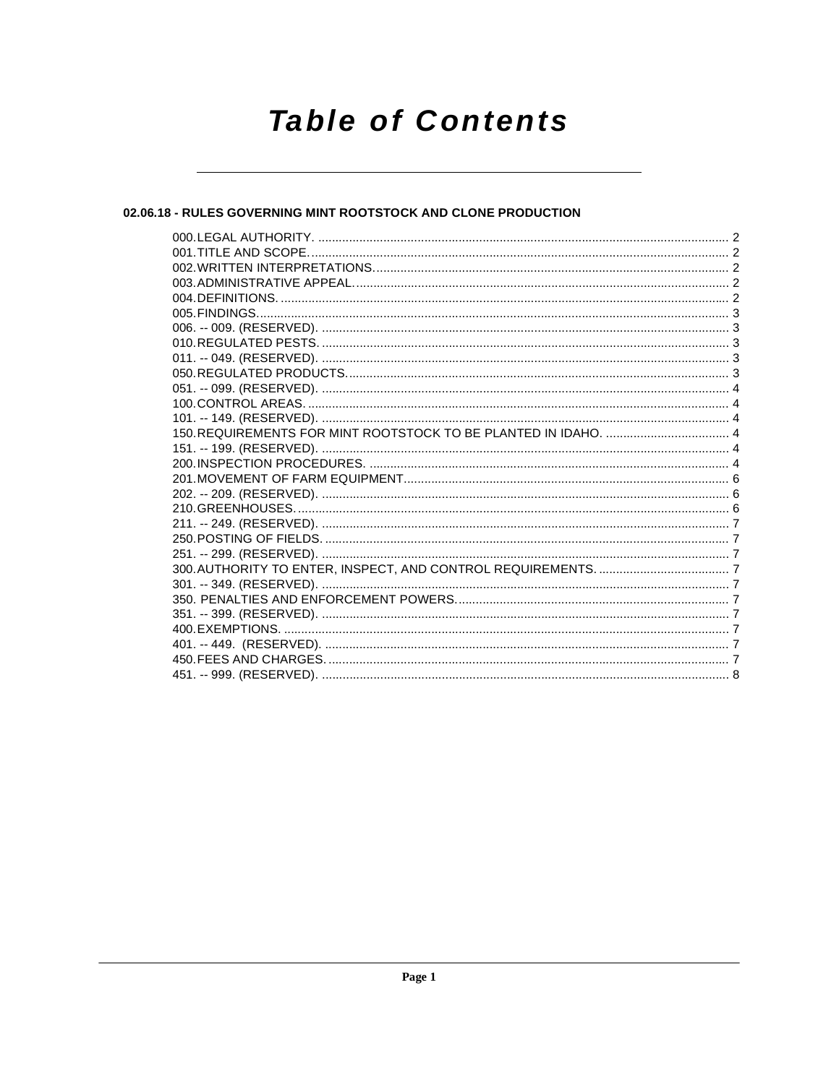# **Table of Contents**

# 02.06.18 - RULES GOVERNING MINT ROOTSTOCK AND CLONE PRODUCTION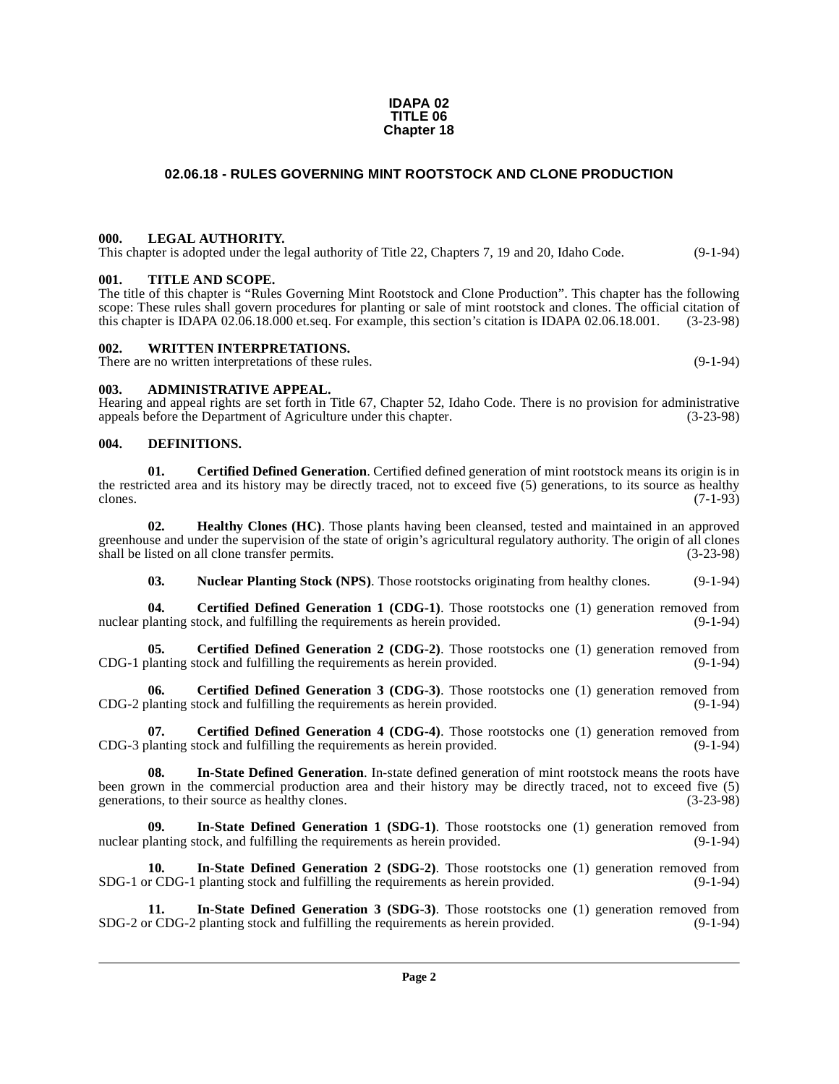# **02.06.18 - RULES GOVERNING MINT ROOTSTOCK AND CLONE PRODUCTION**

**IDAPA 02 TITLE 06 Chapter 18**

#### <span id="page-1-1"></span><span id="page-1-0"></span>**000. LEGAL AUTHORITY.**

This chapter is adopted under the legal authority of Title 22, Chapters 7, 19 and 20, Idaho Code. (9-1-94)

# <span id="page-1-2"></span>**001. TITLE AND SCOPE.**

The title of this chapter is "Rules Governing Mint Rootstock and Clone Production". This chapter has the following scope: These rules shall govern procedures for planting or sale of mint rootstock and clones. The official citation of this chapter is IDAPA 02.06.18.000 et.seq. For example, this section's citation is IDAPA 02.06.18.001. (3-23-98)

#### <span id="page-1-3"></span>**002. WRITTEN INTERPRETATIONS.**

There are no written interpretations of these rules. (9-1-94)

#### <span id="page-1-4"></span>**003. ADMINISTRATIVE APPEAL.**

Hearing and appeal rights are set forth in Title 67, Chapter 52, Idaho Code. There is no provision for administrative appeals before the Department of Agriculture under this chapter.

#### <span id="page-1-10"></span><span id="page-1-5"></span>**004. DEFINITIONS.**

<span id="page-1-6"></span>**01.** Certified Defined Generation. Certified defined generation of mint rootstock means its origin is in the restricted area and its history may be directly traced, not to exceed five (5) generations, to its source as healthy clones. (7-1-93) clones.  $(7-1-93)$ 

**02. Healthy Clones (HC)**. Those plants having been cleansed, tested and maintained in an approved greenhouse and under the supervision of the state of origin's agricultural regulatory authority. The origin of all clones shall be listed on all clone transfer permits. (3-23-98) shall be listed on all clone transfer permits.

<span id="page-1-16"></span><span id="page-1-11"></span><span id="page-1-7"></span>**03.** Nuclear Planting Stock (NPS). Those rootstocks originating from healthy clones. (9-1-94)

**04. Certified Defined Generation 1 (CDG-1)**. Those rootstocks one (1) generation removed from planting stock, and fulfilling the requirements as herein provided. (9-1-94) nuclear planting stock, and fulfilling the requirements as herein provided.

**05. Certified Defined Generation 2 (CDG-2)**. Those rootstocks one (1) generation removed from planting stock and fulfilling the requirements as herein provided. (9-1-94) CDG-1 planting stock and fulfilling the requirements as herein provided.

<span id="page-1-8"></span>**Certified Defined Generation 3 (CDG-3)**. Those rootstocks one (1) generation removed from CDG-2 planting stock and fulfilling the requirements as herein provided. (9-1-94)

<span id="page-1-9"></span>**07. Certified Defined Generation 4 (CDG-4)**. Those rootstocks one (1) generation removed from planting stock and fulfilling the requirements as herein provided. (9-1-94) CDG-3 planting stock and fulfilling the requirements as herein provided.

<span id="page-1-15"></span>**08. In-State Defined Generation**. In-state defined generation of mint rootstock means the roots have been grown in the commercial production area and their history may be directly traced, not to exceed five (5) generations, to their source as healthy clones. (3-23-98)

<span id="page-1-12"></span>**09.** In-State Defined Generation 1 (SDG-1). Those rootstocks one (1) generation removed from planting stock, and fulfilling the requirements as herein provided. (9-1-94) nuclear planting stock, and fulfilling the requirements as herein provided.

<span id="page-1-13"></span>**10.** In-State Defined Generation 2 (SDG-2). Those rootstocks one (1) generation removed from r CDG-1 planting stock and fulfilling the requirements as herein provided. (9-1-94) SDG-1 or CDG-1 planting stock and fulfilling the requirements as herein provided.

<span id="page-1-14"></span>**11.** In-State Defined Generation 3 (SDG-3). Those rootstocks one (1) generation removed from r CDG-2 planting stock and fulfilling the requirements as herein provided. (9-1-94) SDG-2 or CDG-2 planting stock and fulfilling the requirements as herein provided.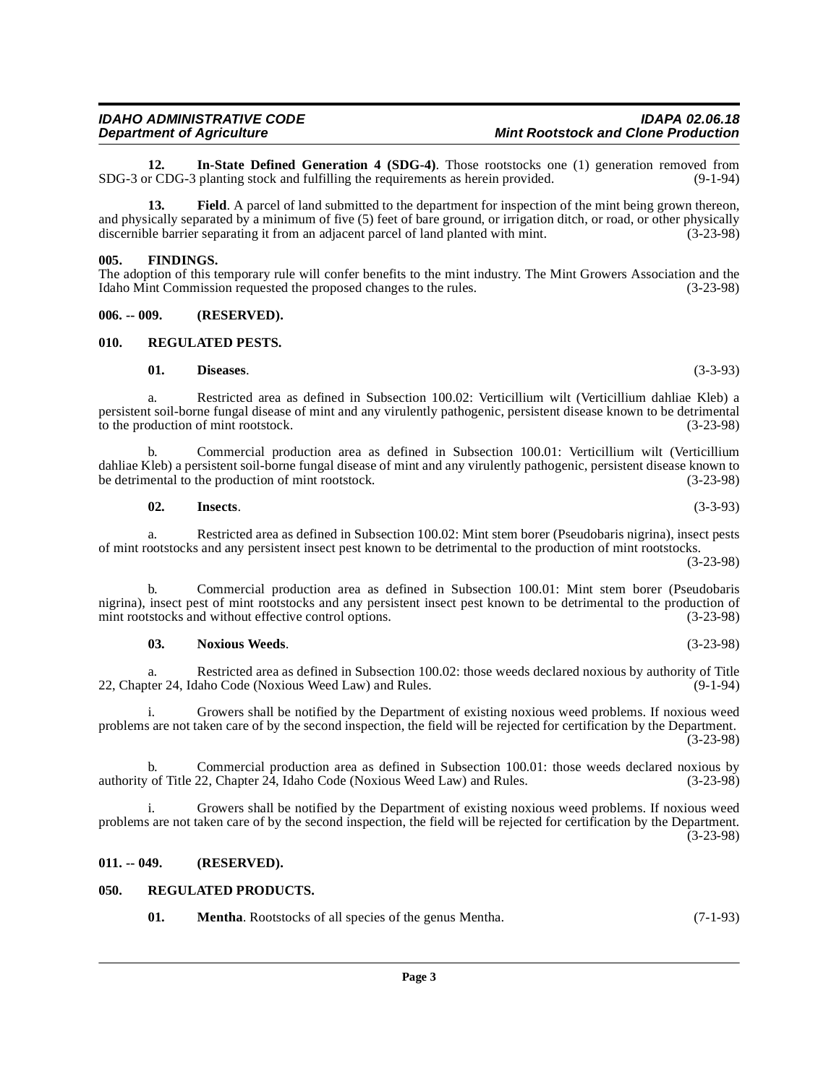<span id="page-2-8"></span>**12.** In-State Defined Generation 4 (SDG-4). Those rootstocks one (1) generation removed from r CDG-3 planting stock and fulfilling the requirements as herein provided. (9-1-94) SDG-3 or CDG-3 planting stock and fulfilling the requirements as herein provided.

<span id="page-2-6"></span>**13. Field**. A parcel of land submitted to the department for inspection of the mint being grown thereon, and physically separated by a minimum of five (5) feet of bare ground, or irrigation ditch, or road, or other physically discernible barrier separating it from an adjacent parcel of land planted with mint. (3-23-98) discernible barrier separating it from an adjacent parcel of land planted with mint.

#### <span id="page-2-7"></span><span id="page-2-0"></span>**005. FINDINGS.**

The adoption of this temporary rule will confer benefits to the mint industry. The Mint Growers Association and the Idaho Mint Commission requested the proposed changes to the rules. (3-23-98)

<span id="page-2-1"></span>**006. -- 009. (RESERVED).**

#### <span id="page-2-2"></span>**010. REGULATED PESTS.**

#### <span id="page-2-12"></span><span id="page-2-5"></span>**01. Diseases**. (3-3-93)

a. Restricted area as defined in Subsection 100.02: Verticillium wilt (Verticillium dahliae Kleb) a persistent soil-borne fungal disease of mint and any virulently pathogenic, persistent disease known to be detrimental to the production of mint rootstock. (3-23-98)

b. Commercial production area as defined in Subsection 100.01: Verticillium wilt (Verticillium dahliae Kleb) a persistent soil-borne fungal disease of mint and any virulently pathogenic, persistent disease known to be detrimental to the production of mint rootstock. (3-23-98) be detrimental to the production of mint rootstock.

# <span id="page-2-9"></span>**02. Insects**. (3-3-93)

a. Restricted area as defined in Subsection 100.02: Mint stem borer (Pseudobaris nigrina), insect pests of mint rootstocks and any persistent insect pest known to be detrimental to the production of mint rootstocks. (3-23-98)

b. Commercial production area as defined in Subsection 100.01: Mint stem borer (Pseudobaris nigrina), insect pest of mint rootstocks and any persistent insect pest known to be detrimental to the production of mint rootstocks and without effective control options. (3-23-98) mint rootstocks and without effective control options.

#### <span id="page-2-11"></span>**03. Noxious Weeds**. (3-23-98)

a. Restricted area as defined in Subsection 100.02: those weeds declared noxious by authority of Title 22, Chapter 24, Idaho Code (Noxious Weed Law) and Rules.

i. Growers shall be notified by the Department of existing noxious weed problems. If noxious weed problems are not taken care of by the second inspection, the field will be rejected for certification by the Department. (3-23-98)

b. Commercial production area as defined in Subsection 100.01: those weeds declared noxious by of Title 22. Chapter 24. Idaho Code (Noxious Weed Law) and Rules. (3-23-98) authority of Title 22, Chapter  $2\overline{4}$ , Idaho Code (Noxious Weed Law) and Rules.

i. Growers shall be notified by the Department of existing noxious weed problems. If noxious weed problems are not taken care of by the second inspection, the field will be rejected for certification by the Department.  $(3-23-98)$ 

#### <span id="page-2-3"></span>**011. -- 049. (RESERVED).**

#### <span id="page-2-4"></span>**050. REGULATED PRODUCTS.**

<span id="page-2-13"></span><span id="page-2-10"></span>**01. Mentha**. Rootstocks of all species of the genus Mentha. (7-1-93)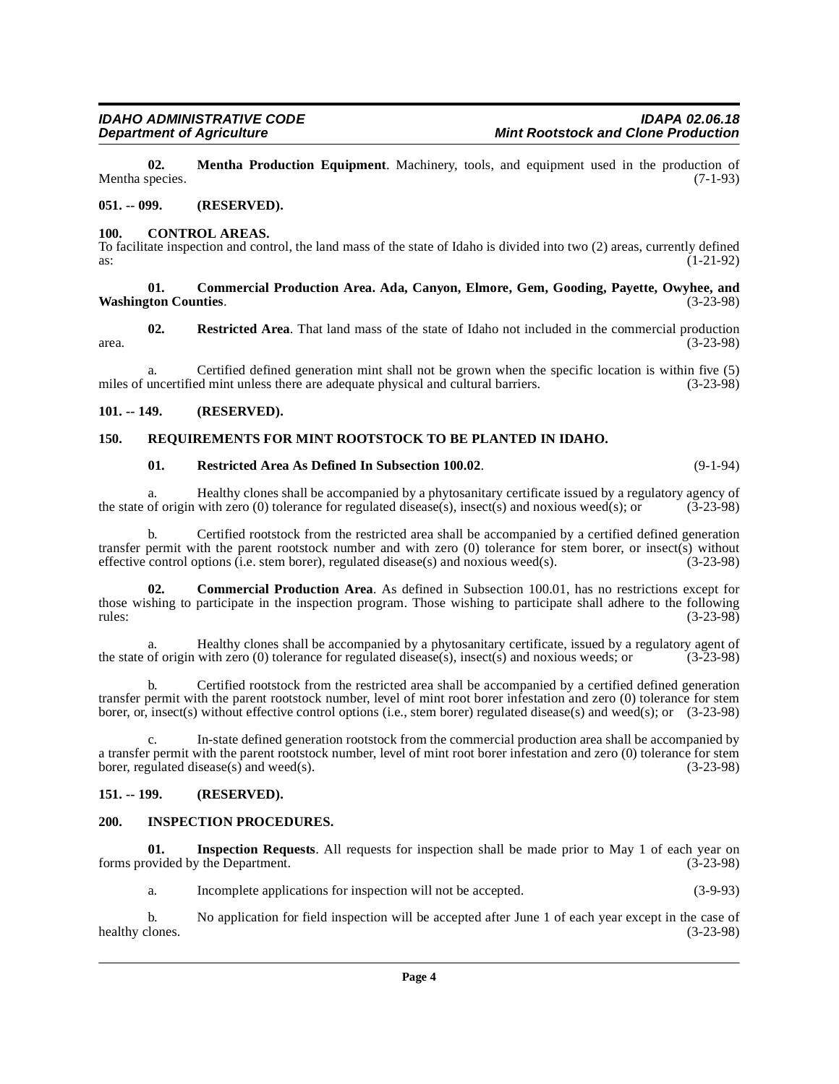<span id="page-3-11"></span>**02. Mentha Production Equipment**. Machinery, tools, and equipment used in the production of (7-1-93) Mentha species.

#### <span id="page-3-0"></span>**051. -- 099. (RESERVED).**

#### <span id="page-3-8"></span><span id="page-3-1"></span>**100. CONTROL AREAS.**

To facilitate inspection and control, the land mass of the state of Idaho is divided into two (2) areas, currently defined as:<br>(1-21-92) as:  $(1-21-92)$ 

#### <span id="page-3-6"></span>**01. Commercial Production Area. Ada, Canyon, Elmore, Gem, Gooding, Payette, Owyhee, and Washington Counties**. (3-23-98)

<span id="page-3-13"></span>**02. Restricted Area**. That land mass of the state of Idaho not included in the commercial production area.  $(3-23-98)$ 

a. Certified defined generation mint shall not be grown when the specific location is within five (5) uncertified mint unless there are adequate physical and cultural barriers. (3-23-98) miles of uncertified mint unless there are adequate physical and cultural barriers.

#### <span id="page-3-2"></span>**101. -- 149. (RESERVED).**

#### <span id="page-3-3"></span>**150. REQUIREMENTS FOR MINT ROOTSTOCK TO BE PLANTED IN IDAHO.**

#### <span id="page-3-14"></span><span id="page-3-12"></span>**01.** Restricted Area As Defined In Subsection 100.02. (9-1-94)

a. Healthy clones shall be accompanied by a phytosanitary certificate issued by a regulatory agency of origin with zero (0) tolerance for regulated disease(s), insect(s) and noxious weed(s); or (3-23-98) the state of origin with zero (0) tolerance for regulated disease(s), insect(s) and noxious weed(s); or

b. Certified rootstock from the restricted area shall be accompanied by a certified defined generation transfer permit with the parent rootstock number and with zero (0) tolerance for stem borer, or insect(s) without effective control options (i.e. stem borer), regulated disease(s) and noxious weed(s). (3-23-98)

<span id="page-3-7"></span>**02. Commercial Production Area**. As defined in Subsection 100.01, has no restrictions except for those wishing to participate in the inspection program. Those wishing to participate shall adhere to the following rules: (3-23-98)

a. Healthy clones shall be accompanied by a phytosanitary certificate, issued by a regulatory agent of origin with zero (0) tolerance for regulated disease(s), insect(s) and noxious weeds: or (3-23-98) the state of origin with zero  $(0)$  tolerance for regulated disease(s), insect(s) and noxious weeds; or

b. Certified rootstock from the restricted area shall be accompanied by a certified defined generation transfer permit with the parent rootstock number, level of mint root borer infestation and zero (0) tolerance for stem borer, or, insect(s) without effective control options (i.e., stem borer) regulated disease(s) and weed(s); or (3-23-98)

In-state defined generation rootstock from the commercial production area shall be accompanied by a transfer permit with the parent rootstock number, level of mint root borer infestation and zero (0) tolerance for stem<br>borer, regulated disease(s) and weed(s). (3-23-98) borer, regulated disease(s) and weed(s).

# <span id="page-3-4"></span>**151. -- 199. (RESERVED).**

#### <span id="page-3-9"></span><span id="page-3-5"></span>**200. INSPECTION PROCEDURES.**

**01. Inspection Requests**. All requests for inspection shall be made prior to May 1 of each year on forms provided by the Department. (3-23-98)

<span id="page-3-10"></span>a. Incomplete applications for inspection will not be accepted. (3-9-93)

b. No application for field inspection will be accepted after June 1 of each year except in the case of lones. (3-23-98) healthy clones.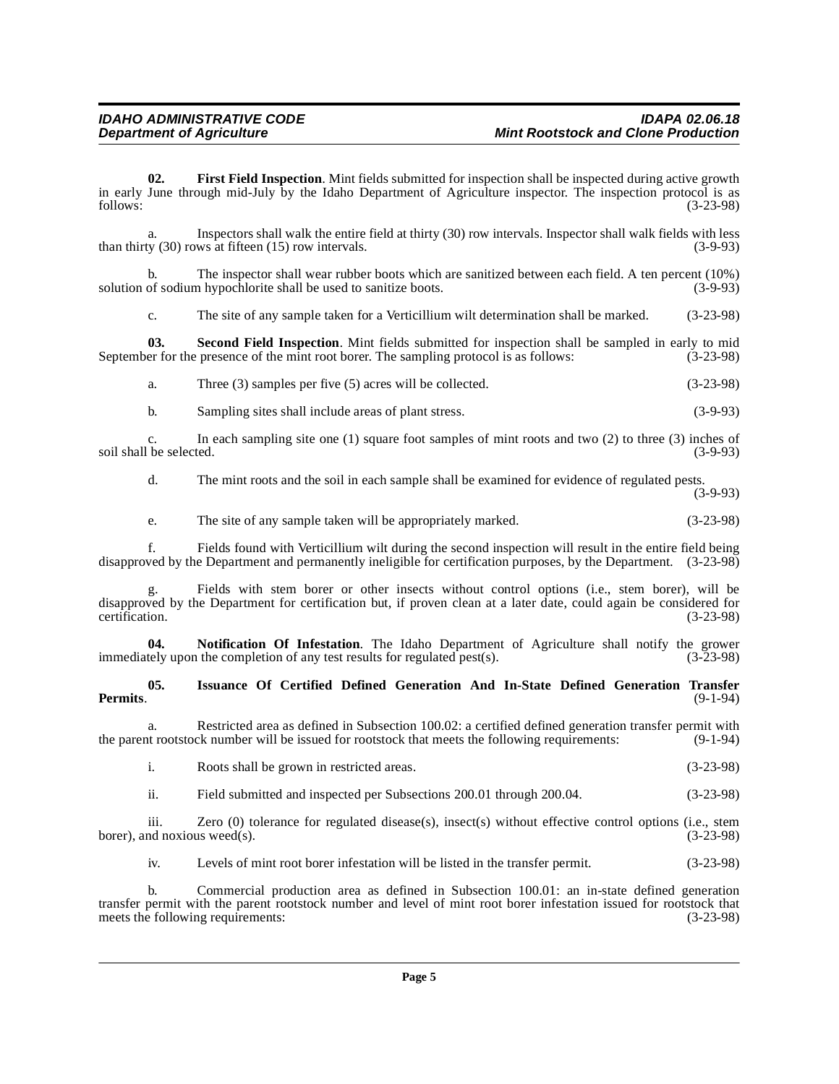<span id="page-4-0"></span>**02. First Field Inspection**. Mint fields submitted for inspection shall be inspected during active growth in early June through mid-July by the Idaho Department of Agriculture inspector. The inspection protocol is as<br>
(3-23-98) follows: (3-23-98)

Inspectors shall walk the entire field at thirty (30) row intervals. Inspector shall walk fields with less was at fifteen (15) row intervals. (3-9-93) than thirty  $(30)$  rows at fifteen  $(15)$  row intervals.

b. The inspector shall wear rubber boots which are sanitized between each field. A ten percent (10%) solution of sodium hypochlorite shall be used to sanitize boots. (3-9-93)

<span id="page-4-3"></span>c. The site of any sample taken for a Verticillium wilt determination shall be marked. (3-23-98)

**03. Second Field Inspection**. Mint fields submitted for inspection shall be sampled in early to mid September for the presence of the mint root borer. The sampling protocol is as follows: (3-23-98)

| a. | Three $(3)$ samples per five $(5)$ acres will be collected. | $(3-23-98)$ |
|----|-------------------------------------------------------------|-------------|
|----|-------------------------------------------------------------|-------------|

b. Sampling sites shall include areas of plant stress. (3-9-93)

c. In each sampling site one (1) square foot samples of mint roots and two (2) to three (3) inches of soil shall be selected.

d. The mint roots and the soil in each sample shall be examined for evidence of regulated pests. (3-9-93)

e. The site of any sample taken will be appropriately marked. (3-23-98)

f. Fields found with Verticillium wilt during the second inspection will result in the entire field being disapproved by the Department and permanently ineligible for certification purposes, by the Department. (3-23-98)

g. Fields with stem borer or other insects without control options (i.e., stem borer), will be disapproved by the Department for certification but, if proven clean at a later date, could again be considered for certification. (3-23-98) certification. (3-23-98)

<span id="page-4-2"></span>**04.** Notification Of Infestation. The Idaho Department of Agriculture shall notify the grower tely upon the completion of any test results for regulated pest(s). (3-23-98) immediately upon the completion of any test results for regulated pest $(s)$ .

#### <span id="page-4-1"></span>**05. Issuance Of Certified Defined Generation And In-State Defined Generation Transfer Permits**. (9-1-94)

a. Restricted area as defined in Subsection 100.02: a certified defined generation transfer permit with the parent rootstock number will be issued for rootstock that meets the following requirements: (9-1-94)

- i. Roots shall be grown in restricted areas. (3-23-98)
- ii. Field submitted and inspected per Subsections 200.01 through 200.04. (3-23-98)

iii. Zero (0) tolerance for regulated disease(s), insect(s) without effective control options (i.e., stem nd noxious weed(s).  $(3-23-98)$ borer), and noxious weed(s).

iv. Levels of mint root borer infestation will be listed in the transfer permit. (3-23-98)

b. Commercial production area as defined in Subsection 100.01: an in-state defined generation transfer permit with the parent rootstock number and level of mint root borer infestation issued for rootstock that meets the following requirements: (3-23-98) meets the following requirements: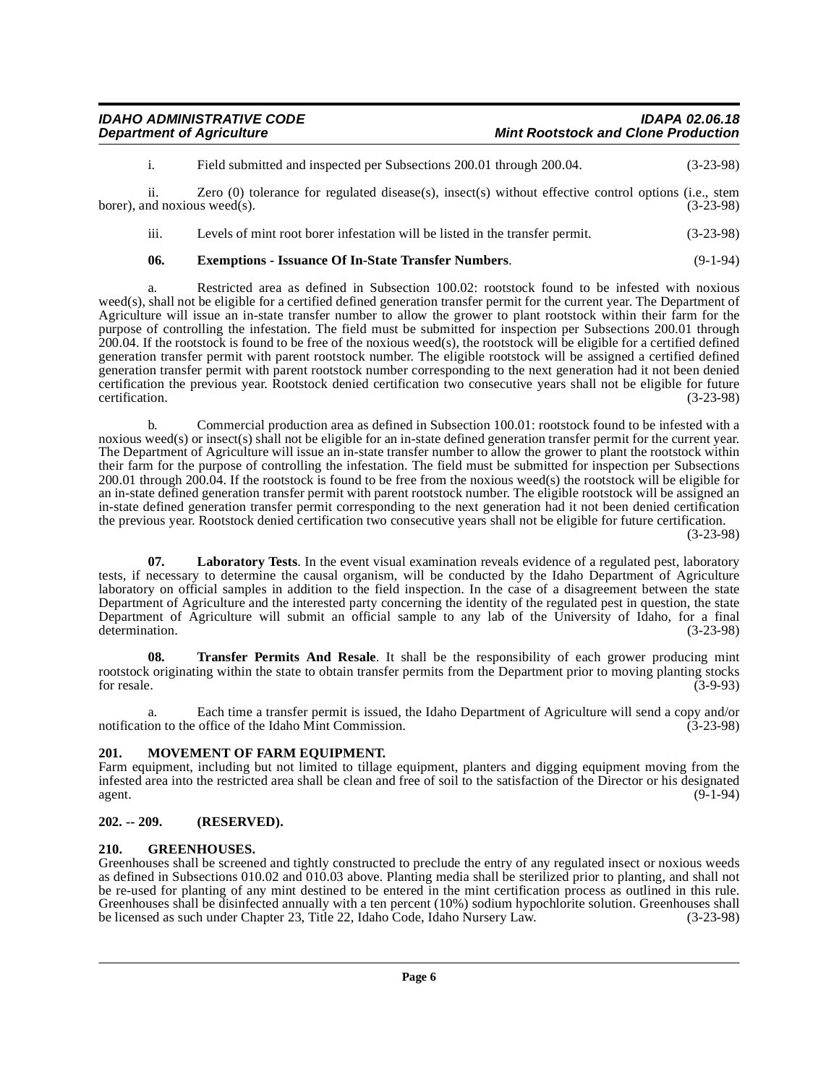| <b>IDAHO ADMINISTRATIVE CODE</b> | <b>IDAPA 02.06.18</b>                      |
|----------------------------------|--------------------------------------------|
| <b>Department of Agriculture</b> | <b>Mint Rootstock and Clone Production</b> |

i. Field submitted and inspected per Subsections 200.01 through 200.04. (3-23-98) ii. Zero (0) tolerance for regulated disease(s), insect(s) without effective control options (i.e., stem

borer), and noxious weed(s).  $(3-23-98)$ 

iii. Levels of mint root borer infestation will be listed in the transfer permit. (3-23-98)

# <span id="page-5-3"></span>**06. Exemptions - Issuance Of In-State Transfer Numbers**. (9-1-94)

a. Restricted area as defined in Subsection 100.02: rootstock found to be infested with noxious weed(s), shall not be eligible for a certified defined generation transfer permit for the current year. The Department of Agriculture will issue an in-state transfer number to allow the grower to plant rootstock within their farm for the purpose of controlling the infestation. The field must be submitted for inspection per Subsections 200.01 through 200.04. If the rootstock is found to be free of the noxious weed(s), the rootstock will be eligible for a certified defined generation transfer permit with parent rootstock number. The eligible rootstock will be assigned a certified defined generation transfer permit with parent rootstock number corresponding to the next generation had it not been denied certification the previous year. Rootstock denied certification two consecutive years shall not be eligible for future certification. (3-23-98)

b. Commercial production area as defined in Subsection 100.01: rootstock found to be infested with a noxious weed(s) or insect(s) shall not be eligible for an in-state defined generation transfer permit for the current year. The Department of Agriculture will issue an in-state transfer number to allow the grower to plant the rootstock within their farm for the purpose of controlling the infestation. The field must be submitted for inspection per Subsections 200.01 through 200.04. If the rootstock is found to be free from the noxious weed(s) the rootstock will be eligible for an in-state defined generation transfer permit with parent rootstock number. The eligible rootstock will be assigned an in-state defined generation transfer permit corresponding to the next generation had it not been denied certification the previous year. Rootstock denied certification two consecutive years shall not be eligible for future certification. (3-23-98)

<span id="page-5-5"></span>**07. Laboratory Tests**. In the event visual examination reveals evidence of a regulated pest, laboratory tests, if necessary to determine the causal organism, will be conducted by the Idaho Department of Agriculture laboratory on official samples in addition to the field inspection. In the case of a disagreement between the state Department of Agriculture and the interested party concerning the identity of the regulated pest in question, the state Department of Agriculture will submit an official sample to any lab of the University of Idaho, for a final determination. (3-23-98)

<span id="page-5-7"></span>**08. Transfer Permits And Resale**. It shall be the responsibility of each grower producing mint rootstock originating within the state to obtain transfer permits from the Department prior to moving planting stocks for resale.  $(3-9-93)$ 

a. Each time a transfer permit is issued, the Idaho Department of Agriculture will send a copy and/or notification to the office of the Idaho Mint Commission. (3-23-98)

#### <span id="page-5-6"></span><span id="page-5-0"></span>**201. MOVEMENT OF FARM EQUIPMENT.**

Farm equipment, including but not limited to tillage equipment, planters and digging equipment moving from the infested area into the restricted area shall be clean and free of soil to the satisfaction of the Director or his designated agent. (9-1-94)

#### <span id="page-5-1"></span>**202. -- 209. (RESERVED).**

#### <span id="page-5-4"></span><span id="page-5-2"></span>**210. GREENHOUSES.**

Greenhouses shall be screened and tightly constructed to preclude the entry of any regulated insect or noxious weeds as defined in Subsections 010.02 and 010.03 above. Planting media shall be sterilized prior to planting, and shall not be re-used for planting of any mint destined to be entered in the mint certification process as outlined in this rule. Greenhouses shall be disinfected annually with a ten percent (10%) sodium hypochlorite solution. Greenhouses shall be licensed as such under Chapter 23, Title 22, Idaho Code, Idaho Nursery Law. (3-23-98)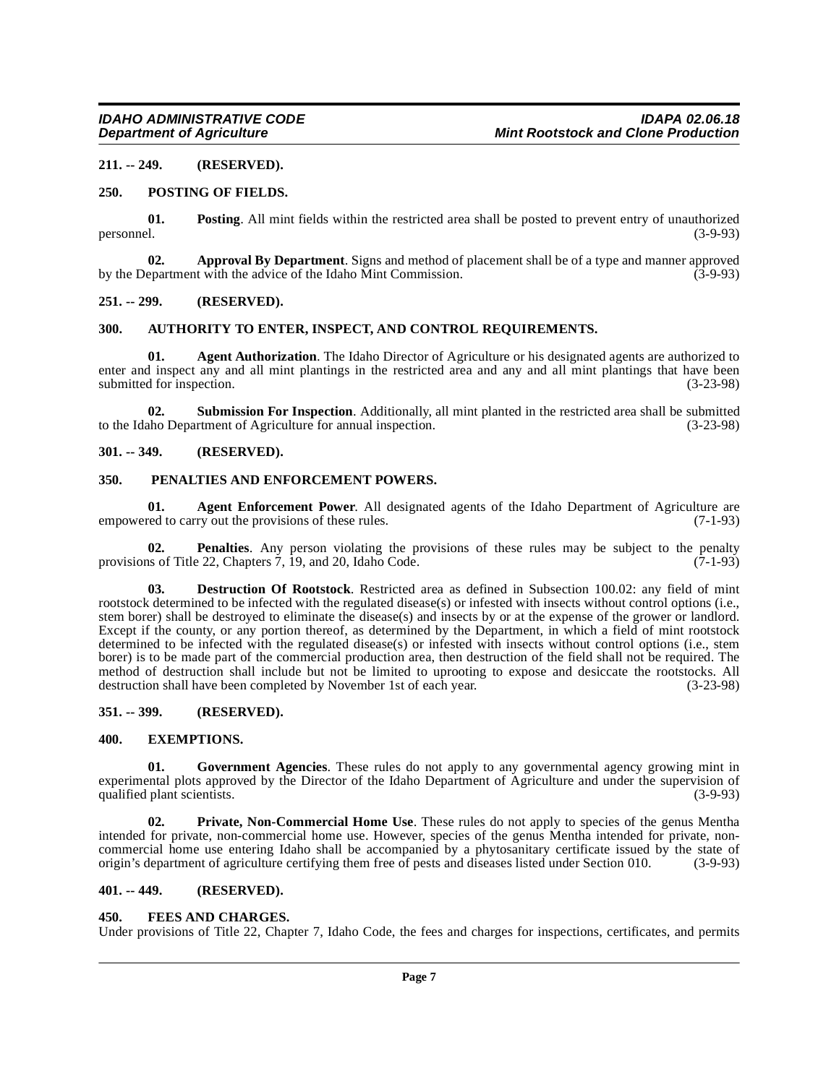#### <span id="page-6-0"></span>**211. -- 249. (RESERVED).**

#### <span id="page-6-18"></span><span id="page-6-1"></span>**250. POSTING OF FIELDS.**

**01. Posting**. All mint fields within the restricted area shall be posted to prevent entry of unauthorized personnel. (3-9-93)

<span id="page-6-11"></span>**02. Approval By Department**. Signs and method of placement shall be of a type and manner approved epartment with the advice of the Idaho Mint Commission. (3-9-93) by the Department with the advice of the Idaho Mint Commission.

#### <span id="page-6-2"></span>**251. -- 299. (RESERVED).**

#### <span id="page-6-12"></span><span id="page-6-3"></span>**300. AUTHORITY TO ENTER, INSPECT, AND CONTROL REQUIREMENTS.**

<span id="page-6-10"></span>**01. Agent Authorization**. The Idaho Director of Agriculture or his designated agents are authorized to enter and inspect any and all mint plantings in the restricted area and any and all mint plantings that have been<br>submitted for inspection. (3-23-98) submitted for inspection.

<span id="page-6-20"></span>**02. Submission For Inspection**. Additionally, all mint planted in the restricted area shall be submitted to the Idaho Department of Agriculture for annual inspection. (3-23-98)

# <span id="page-6-4"></span>**301. -- 349. (RESERVED).**

#### <span id="page-6-17"></span><span id="page-6-5"></span>**350. PENALTIES AND ENFORCEMENT POWERS.**

**01. Agent Enforcement Power**. All designated agents of the Idaho Department of Agriculture are red to carry out the provisions of these rules. (7-1-93) empowered to carry out the provisions of these rules.

**02. Penalties**. Any person violating the provisions of these rules may be subject to the penalty is of Title 22, Chapters 7, 19, and 20, Idaho Code. (7-1-93) provisions of Title 22, Chapters  $\dot{7}$ , 19, and 20, Idaho Code.

<span id="page-6-13"></span>**03. Destruction Of Rootstock**. Restricted area as defined in Subsection 100.02: any field of mint rootstock determined to be infected with the regulated disease(s) or infested with insects without control options (i.e., stem borer) shall be destroyed to eliminate the disease(s) and insects by or at the expense of the grower or landlord. Except if the county, or any portion thereof, as determined by the Department, in which a field of mint rootstock determined to be infected with the regulated disease(s) or infested with insects without control options (i.e., stem borer) is to be made part of the commercial production area, then destruction of the field shall not be required. The method of destruction shall include but not be limited to uprooting to expose and desiccate the rootstocks. All<br>destruction shall have been completed by November 1st of each year. (3-23-98) destruction shall have been completed by November 1st of each year.

#### <span id="page-6-6"></span>**351. -- 399. (RESERVED).**

#### <span id="page-6-14"></span><span id="page-6-7"></span>**400. EXEMPTIONS.**

<span id="page-6-16"></span>**01. Government Agencies**. These rules do not apply to any governmental agency growing mint in experimental plots approved by the Director of the Idaho Department of Agriculture and under the supervision of qualified plant scientists. (3-9-93)

<span id="page-6-19"></span>**02. Private, Non-Commercial Home Use**. These rules do not apply to species of the genus Mentha intended for private, non-commercial home use. However, species of the genus Mentha intended for private, noncommercial home use entering Idaho shall be accompanied by a phytosanitary certificate issued by the state of origin's department of agriculture certifying them free of pests and diseases listed under Section 010. (3-9-93)

#### <span id="page-6-8"></span>**401. -- 449. (RESERVED).**

#### <span id="page-6-15"></span><span id="page-6-9"></span>**450. FEES AND CHARGES.**

Under provisions of Title 22, Chapter 7, Idaho Code, the fees and charges for inspections, certificates, and permits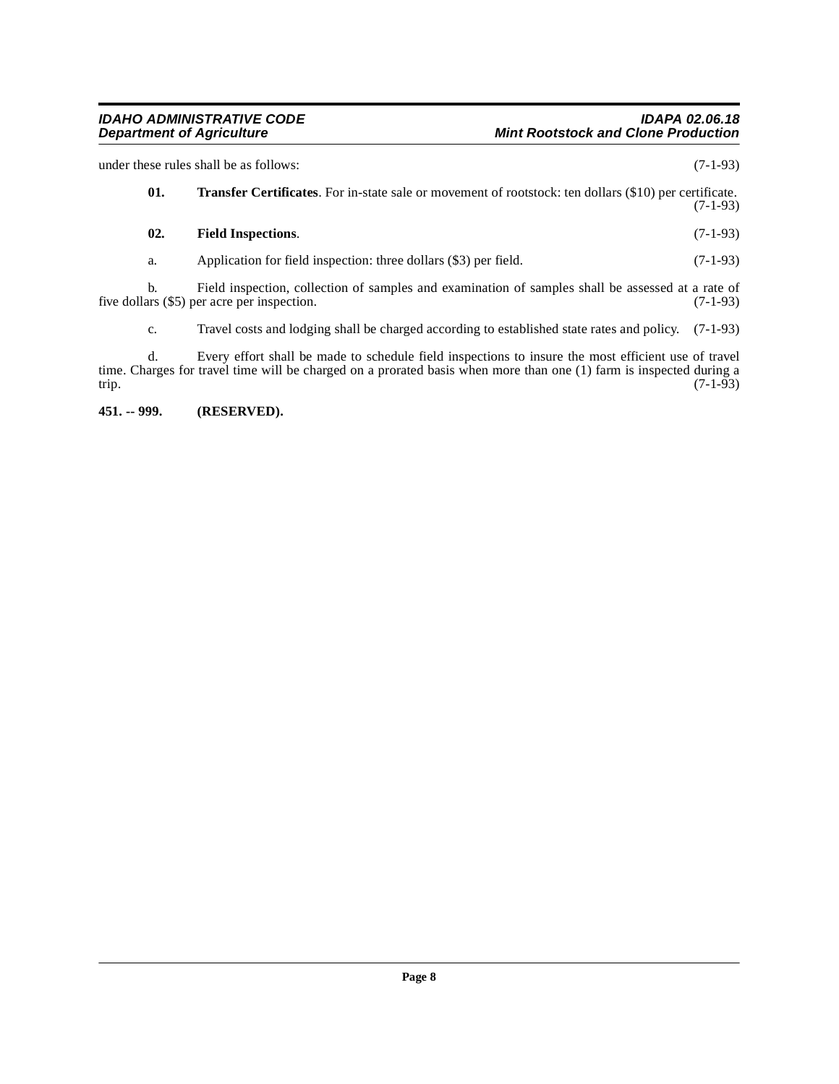<span id="page-7-2"></span><span id="page-7-1"></span>

| under these rules shall be as follows: |                                                                                                                      |                                                                                                                                                                                                                            | $(7-1-93)$ |  |
|----------------------------------------|----------------------------------------------------------------------------------------------------------------------|----------------------------------------------------------------------------------------------------------------------------------------------------------------------------------------------------------------------------|------------|--|
|                                        | 01.<br><b>Transfer Certificates.</b> For in-state sale or movement of rootstock: ten dollars (\$10) per certificate. |                                                                                                                                                                                                                            | $(7-1-93)$ |  |
|                                        | 02.                                                                                                                  | <b>Field Inspections.</b>                                                                                                                                                                                                  | $(7-1-93)$ |  |
|                                        | a.                                                                                                                   | Application for field inspection: three dollars (\$3) per field.                                                                                                                                                           | $(7-1-93)$ |  |
|                                        | b.                                                                                                                   | Field inspection, collection of samples and examination of samples shall be assessed at a rate of<br>five dollars (\$5) per acre per inspection.                                                                           | $(7-1-93)$ |  |
|                                        | c.                                                                                                                   | Travel costs and lodging shall be charged according to established state rates and policy. (7-1-93)                                                                                                                        |            |  |
| trip.                                  | d.                                                                                                                   | Every effort shall be made to schedule field inspections to insure the most efficient use of travel<br>time. Charges for travel time will be charged on a prorated basis when more than one (1) farm is inspected during a | $(7-1-93)$ |  |

<span id="page-7-0"></span>**451. -- 999. (RESERVED).**